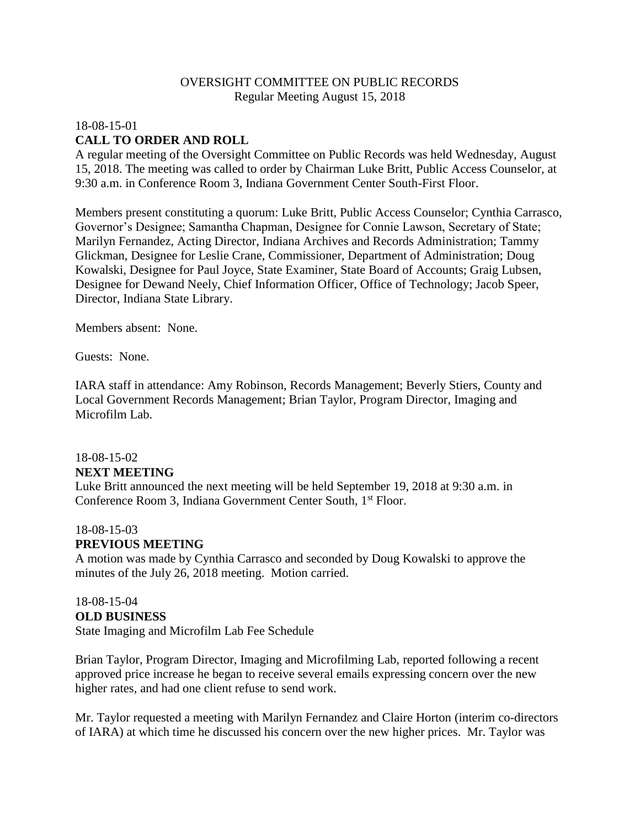## OVERSIGHT COMMITTEE ON PUBLIC RECORDS Regular Meeting August 15, 2018

# 18-08-15-01 **CALL TO ORDER AND ROLL**

A regular meeting of the Oversight Committee on Public Records was held Wednesday, August 15, 2018. The meeting was called to order by Chairman Luke Britt, Public Access Counselor, at 9:30 a.m. in Conference Room 3, Indiana Government Center South-First Floor.

Members present constituting a quorum: Luke Britt, Public Access Counselor; Cynthia Carrasco, Governor's Designee; Samantha Chapman, Designee for Connie Lawson, Secretary of State; Marilyn Fernandez, Acting Director, Indiana Archives and Records Administration; Tammy Glickman, Designee for Leslie Crane, Commissioner, Department of Administration; Doug Kowalski, Designee for Paul Joyce, State Examiner, State Board of Accounts; Graig Lubsen, Designee for Dewand Neely, Chief Information Officer, Office of Technology; Jacob Speer, Director, Indiana State Library.

Members absent: None.

Guests: None.

IARA staff in attendance: Amy Robinson, Records Management; Beverly Stiers, County and Local Government Records Management; Brian Taylor, Program Director, Imaging and Microfilm Lab.

#### 18-08-15-02 **NEXT MEETING**

Luke Britt announced the next meeting will be held September 19, 2018 at 9:30 a.m. in Conference Room 3, Indiana Government Center South, 1<sup>st</sup> Floor.

# 18-08-15-03

#### **PREVIOUS MEETING**

A motion was made by Cynthia Carrasco and seconded by Doug Kowalski to approve the minutes of the July 26, 2018 meeting. Motion carried.

### 18-08-15-04 **OLD BUSINESS** State Imaging and Microfilm Lab Fee Schedule

Brian Taylor, Program Director, Imaging and Microfilming Lab, reported following a recent approved price increase he began to receive several emails expressing concern over the new higher rates, and had one client refuse to send work.

Mr. Taylor requested a meeting with Marilyn Fernandez and Claire Horton (interim co-directors of IARA) at which time he discussed his concern over the new higher prices. Mr. Taylor was